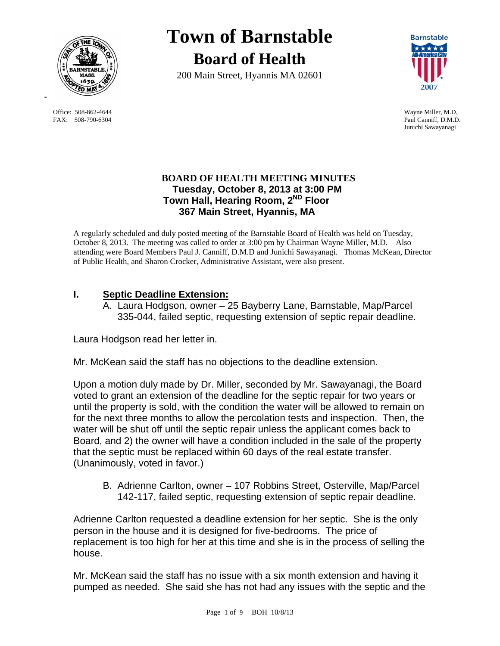

FAX: 508-790-6304 Paul Canniff, D.M.D.

# **Town of Barnstable Board of Health**

200 Main Street, Hyannis MA 02601



 Office: 508-862-4644 Wayne Miller, M.D. Junichi Sawayanagi

## **BOARD OF HEALTH MEETING MINUTES Tuesday, October 8, 2013 at 3:00 PM Town Hall, Hearing Room, 2ND Floor 367 Main Street, Hyannis, MA**

A regularly scheduled and duly posted meeting of the Barnstable Board of Health was held on Tuesday, October 8, 2013. The meeting was called to order at 3:00 pm by Chairman Wayne Miller, M.D. Also attending were Board Members Paul J. Canniff, D.M.D and Junichi Sawayanagi. Thomas McKean, Director of Public Health, and Sharon Crocker, Administrative Assistant, were also present.

## **I. Septic Deadline Extension:**

A. Laura Hodgson, owner – 25 Bayberry Lane, Barnstable, Map/Parcel 335-044, failed septic, requesting extension of septic repair deadline.

Laura Hodgson read her letter in.

Mr. McKean said the staff has no objections to the deadline extension.

Upon a motion duly made by Dr. Miller, seconded by Mr. Sawayanagi, the Board voted to grant an extension of the deadline for the septic repair for two years or until the property is sold, with the condition the water will be allowed to remain on for the next three months to allow the percolation tests and inspection. Then, the water will be shut off until the septic repair unless the applicant comes back to Board, and 2) the owner will have a condition included in the sale of the property that the septic must be replaced within 60 days of the real estate transfer. (Unanimously, voted in favor.)

B. Adrienne Carlton, owner – 107 Robbins Street, Osterville, Map/Parcel 142-117, failed septic, requesting extension of septic repair deadline.

Adrienne Carlton requested a deadline extension for her septic. She is the only person in the house and it is designed for five-bedrooms. The price of replacement is too high for her at this time and she is in the process of selling the house.

Mr. McKean said the staff has no issue with a six month extension and having it pumped as needed. She said she has not had any issues with the septic and the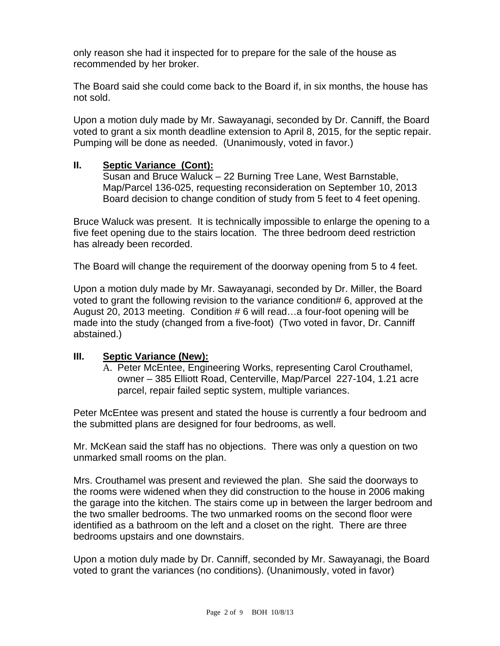only reason she had it inspected for to prepare for the sale of the house as recommended by her broker.

The Board said she could come back to the Board if, in six months, the house has not sold.

Upon a motion duly made by Mr. Sawayanagi, seconded by Dr. Canniff, the Board voted to grant a six month deadline extension to April 8, 2015, for the septic repair. Pumping will be done as needed. (Unanimously, voted in favor.)

## **II. Septic Variance (Cont):**

Susan and Bruce Waluck – 22 Burning Tree Lane, West Barnstable, Map/Parcel 136-025, requesting reconsideration on September 10, 2013 Board decision to change condition of study from 5 feet to 4 feet opening.

Bruce Waluck was present. It is technically impossible to enlarge the opening to a five feet opening due to the stairs location. The three bedroom deed restriction has already been recorded.

The Board will change the requirement of the doorway opening from 5 to 4 feet.

Upon a motion duly made by Mr. Sawayanagi, seconded by Dr. Miller, the Board voted to grant the following revision to the variance condition# 6, approved at the August 20, 2013 meeting. Condition # 6 will read…a four-foot opening will be made into the study (changed from a five-foot) (Two voted in favor, Dr. Canniff abstained.)

#### **III. Septic Variance (New):**

A. Peter McEntee, Engineering Works, representing Carol Crouthamel, owner – 385 Elliott Road, Centerville, Map/Parcel 227-104, 1.21 acre parcel, repair failed septic system, multiple variances.

Peter McEntee was present and stated the house is currently a four bedroom and the submitted plans are designed for four bedrooms, as well.

Mr. McKean said the staff has no objections. There was only a question on two unmarked small rooms on the plan.

Mrs. Crouthamel was present and reviewed the plan. She said the doorways to the rooms were widened when they did construction to the house in 2006 making the garage into the kitchen. The stairs come up in between the larger bedroom and the two smaller bedrooms. The two unmarked rooms on the second floor were identified as a bathroom on the left and a closet on the right. There are three bedrooms upstairs and one downstairs.

Upon a motion duly made by Dr. Canniff, seconded by Mr. Sawayanagi, the Board voted to grant the variances (no conditions). (Unanimously, voted in favor)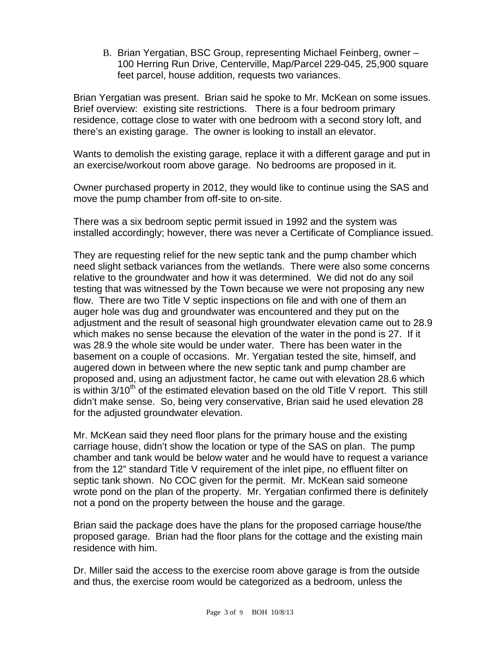B. Brian Yergatian, BSC Group, representing Michael Feinberg, owner – 100 Herring Run Drive, Centerville, Map/Parcel 229-045, 25,900 square feet parcel, house addition, requests two variances.

Brian Yergatian was present. Brian said he spoke to Mr. McKean on some issues. Brief overview: existing site restrictions. There is a four bedroom primary residence, cottage close to water with one bedroom with a second story loft, and there's an existing garage. The owner is looking to install an elevator.

Wants to demolish the existing garage, replace it with a different garage and put in an exercise/workout room above garage. No bedrooms are proposed in it.

Owner purchased property in 2012, they would like to continue using the SAS and move the pump chamber from off-site to on-site.

There was a six bedroom septic permit issued in 1992 and the system was installed accordingly; however, there was never a Certificate of Compliance issued.

They are requesting relief for the new septic tank and the pump chamber which need slight setback variances from the wetlands. There were also some concerns relative to the groundwater and how it was determined. We did not do any soil testing that was witnessed by the Town because we were not proposing any new flow. There are two Title V septic inspections on file and with one of them an auger hole was dug and groundwater was encountered and they put on the adjustment and the result of seasonal high groundwater elevation came out to 28.9 which makes no sense because the elevation of the water in the pond is 27. If it was 28.9 the whole site would be under water. There has been water in the basement on a couple of occasions. Mr. Yergatian tested the site, himself, and augered down in between where the new septic tank and pump chamber are proposed and, using an adjustment factor, he came out with elevation 28.6 which is within  $3/10<sup>th</sup>$  of the estimated elevation based on the old Title V report. This still didn't make sense. So, being very conservative, Brian said he used elevation 28 for the adjusted groundwater elevation.

Mr. McKean said they need floor plans for the primary house and the existing carriage house, didn't show the location or type of the SAS on plan. The pump chamber and tank would be below water and he would have to request a variance from the 12" standard Title V requirement of the inlet pipe, no effluent filter on septic tank shown. No COC given for the permit. Mr. McKean said someone wrote pond on the plan of the property. Mr. Yergatian confirmed there is definitely not a pond on the property between the house and the garage.

Brian said the package does have the plans for the proposed carriage house/the proposed garage. Brian had the floor plans for the cottage and the existing main residence with him.

Dr. Miller said the access to the exercise room above garage is from the outside and thus, the exercise room would be categorized as a bedroom, unless the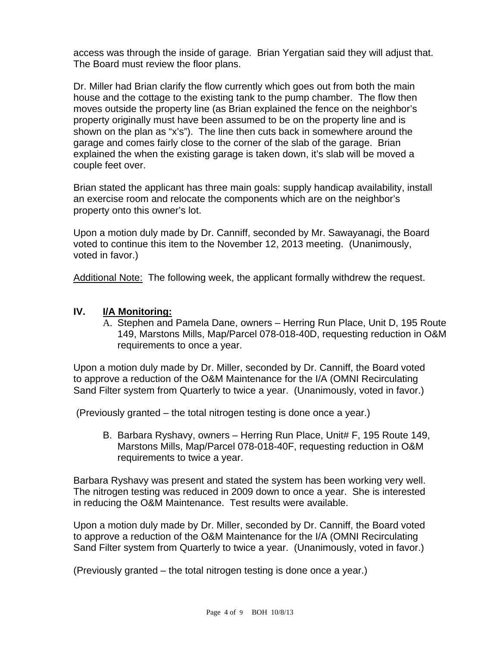access was through the inside of garage. Brian Yergatian said they will adjust that. The Board must review the floor plans.

Dr. Miller had Brian clarify the flow currently which goes out from both the main house and the cottage to the existing tank to the pump chamber. The flow then moves outside the property line (as Brian explained the fence on the neighbor's property originally must have been assumed to be on the property line and is shown on the plan as "x's"). The line then cuts back in somewhere around the garage and comes fairly close to the corner of the slab of the garage. Brian explained the when the existing garage is taken down, it's slab will be moved a couple feet over.

Brian stated the applicant has three main goals: supply handicap availability, install an exercise room and relocate the components which are on the neighbor's property onto this owner's lot.

Upon a motion duly made by Dr. Canniff, seconded by Mr. Sawayanagi, the Board voted to continue this item to the November 12, 2013 meeting. (Unanimously, voted in favor.)

Additional Note: The following week, the applicant formally withdrew the request.

#### **IV. I/A Monitoring:**

A. Stephen and Pamela Dane, owners – Herring Run Place, Unit D, 195 Route 149, Marstons Mills, Map/Parcel 078-018-40D, requesting reduction in O&M requirements to once a year.

Upon a motion duly made by Dr. Miller, seconded by Dr. Canniff, the Board voted to approve a reduction of the O&M Maintenance for the I/A (OMNI Recirculating Sand Filter system from Quarterly to twice a year. (Unanimously, voted in favor.)

(Previously granted – the total nitrogen testing is done once a year.)

B. Barbara Ryshavy, owners – Herring Run Place, Unit# F, 195 Route 149, Marstons Mills, Map/Parcel 078-018-40F, requesting reduction in O&M requirements to twice a year.

Barbara Ryshavy was present and stated the system has been working very well. The nitrogen testing was reduced in 2009 down to once a year. She is interested in reducing the O&M Maintenance. Test results were available.

Upon a motion duly made by Dr. Miller, seconded by Dr. Canniff, the Board voted to approve a reduction of the O&M Maintenance for the I/A (OMNI Recirculating Sand Filter system from Quarterly to twice a year. (Unanimously, voted in favor.)

(Previously granted – the total nitrogen testing is done once a year.)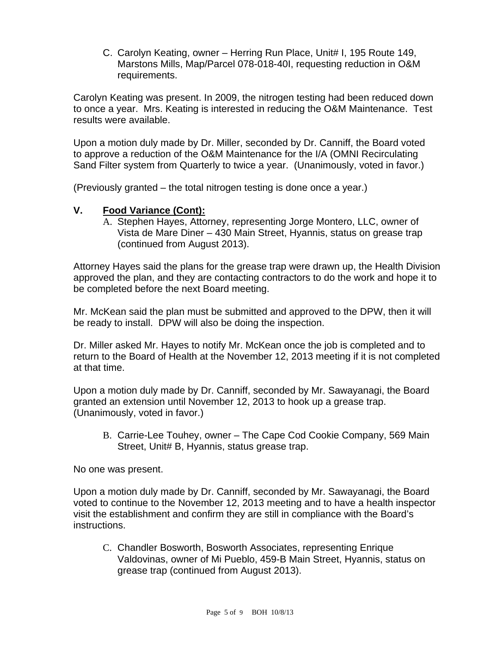C. Carolyn Keating, owner – Herring Run Place, Unit# I, 195 Route 149, Marstons Mills, Map/Parcel 078-018-40I, requesting reduction in O&M requirements.

Carolyn Keating was present. In 2009, the nitrogen testing had been reduced down to once a year. Mrs. Keating is interested in reducing the O&M Maintenance. Test results were available.

Upon a motion duly made by Dr. Miller, seconded by Dr. Canniff, the Board voted to approve a reduction of the O&M Maintenance for the I/A (OMNI Recirculating Sand Filter system from Quarterly to twice a year. (Unanimously, voted in favor.)

(Previously granted – the total nitrogen testing is done once a year.)

## **V. Food Variance (Cont):**

A. Stephen Hayes, Attorney, representing Jorge Montero, LLC, owner of Vista de Mare Diner – 430 Main Street, Hyannis, status on grease trap (continued from August 2013).

Attorney Hayes said the plans for the grease trap were drawn up, the Health Division approved the plan, and they are contacting contractors to do the work and hope it to be completed before the next Board meeting.

Mr. McKean said the plan must be submitted and approved to the DPW, then it will be ready to install. DPW will also be doing the inspection.

Dr. Miller asked Mr. Hayes to notify Mr. McKean once the job is completed and to return to the Board of Health at the November 12, 2013 meeting if it is not completed at that time.

Upon a motion duly made by Dr. Canniff, seconded by Mr. Sawayanagi, the Board granted an extension until November 12, 2013 to hook up a grease trap. (Unanimously, voted in favor.)

B. Carrie-Lee Touhey, owner – The Cape Cod Cookie Company, 569 Main Street, Unit# B, Hyannis, status grease trap.

No one was present.

Upon a motion duly made by Dr. Canniff, seconded by Mr. Sawayanagi, the Board voted to continue to the November 12, 2013 meeting and to have a health inspector visit the establishment and confirm they are still in compliance with the Board's instructions.

C. Chandler Bosworth, Bosworth Associates, representing Enrique Valdovinas, owner of Mi Pueblo, 459-B Main Street, Hyannis, status on grease trap (continued from August 2013).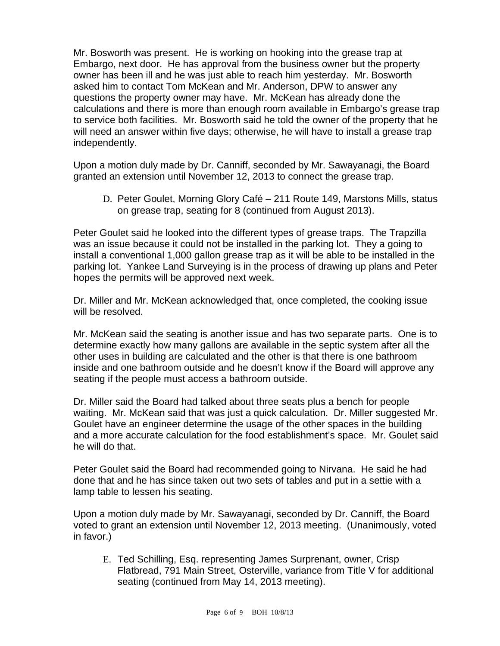Mr. Bosworth was present. He is working on hooking into the grease trap at Embargo, next door. He has approval from the business owner but the property owner has been ill and he was just able to reach him yesterday. Mr. Bosworth asked him to contact Tom McKean and Mr. Anderson, DPW to answer any questions the property owner may have. Mr. McKean has already done the calculations and there is more than enough room available in Embargo's grease trap to service both facilities. Mr. Bosworth said he told the owner of the property that he will need an answer within five days; otherwise, he will have to install a grease trap independently.

Upon a motion duly made by Dr. Canniff, seconded by Mr. Sawayanagi, the Board granted an extension until November 12, 2013 to connect the grease trap.

D. Peter Goulet, Morning Glory Café – 211 Route 149, Marstons Mills, status on grease trap, seating for 8 (continued from August 2013).

Peter Goulet said he looked into the different types of grease traps. The Trapzilla was an issue because it could not be installed in the parking lot. They a going to install a conventional 1,000 gallon grease trap as it will be able to be installed in the parking lot. Yankee Land Surveying is in the process of drawing up plans and Peter hopes the permits will be approved next week.

Dr. Miller and Mr. McKean acknowledged that, once completed, the cooking issue will be resolved.

Mr. McKean said the seating is another issue and has two separate parts. One is to determine exactly how many gallons are available in the septic system after all the other uses in building are calculated and the other is that there is one bathroom inside and one bathroom outside and he doesn't know if the Board will approve any seating if the people must access a bathroom outside.

Dr. Miller said the Board had talked about three seats plus a bench for people waiting. Mr. McKean said that was just a quick calculation. Dr. Miller suggested Mr. Goulet have an engineer determine the usage of the other spaces in the building and a more accurate calculation for the food establishment's space. Mr. Goulet said he will do that.

Peter Goulet said the Board had recommended going to Nirvana. He said he had done that and he has since taken out two sets of tables and put in a settie with a lamp table to lessen his seating.

Upon a motion duly made by Mr. Sawayanagi, seconded by Dr. Canniff, the Board voted to grant an extension until November 12, 2013 meeting. (Unanimously, voted in favor.)

E. Ted Schilling, Esq. representing James Surprenant, owner, Crisp Flatbread, 791 Main Street, Osterville, variance from Title V for additional seating (continued from May 14, 2013 meeting).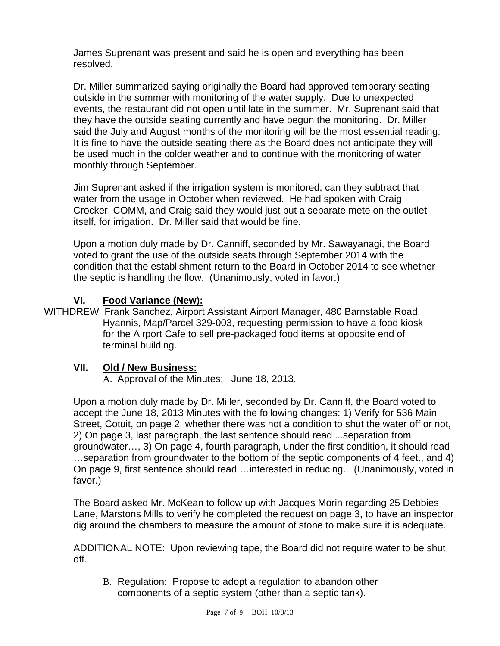James Suprenant was present and said he is open and everything has been resolved.

Dr. Miller summarized saying originally the Board had approved temporary seating outside in the summer with monitoring of the water supply. Due to unexpected events, the restaurant did not open until late in the summer. Mr. Suprenant said that they have the outside seating currently and have begun the monitoring. Dr. Miller said the July and August months of the monitoring will be the most essential reading. It is fine to have the outside seating there as the Board does not anticipate they will be used much in the colder weather and to continue with the monitoring of water monthly through September.

Jim Suprenant asked if the irrigation system is monitored, can they subtract that water from the usage in October when reviewed. He had spoken with Craig Crocker, COMM, and Craig said they would just put a separate mete on the outlet itself, for irrigation. Dr. Miller said that would be fine.

Upon a motion duly made by Dr. Canniff, seconded by Mr. Sawayanagi, the Board voted to grant the use of the outside seats through September 2014 with the condition that the establishment return to the Board in October 2014 to see whether the septic is handling the flow. (Unanimously, voted in favor.)

## **VI. Food Variance (New):**

WITHDREW Frank Sanchez, Airport Assistant Airport Manager, 480 Barnstable Road, Hyannis, Map/Parcel 329-003, requesting permission to have a food kiosk for the Airport Cafe to sell pre-packaged food items at opposite end of terminal building.

## **VII. Old / New Business:**

A. Approval of the Minutes: June 18, 2013.

Upon a motion duly made by Dr. Miller, seconded by Dr. Canniff, the Board voted to accept the June 18, 2013 Minutes with the following changes: 1) Verify for 536 Main Street, Cotuit, on page 2, whether there was not a condition to shut the water off or not, 2) On page 3, last paragraph, the last sentence should read ...separation from groundwater…, 3) On page 4, fourth paragraph, under the first condition, it should read …separation from groundwater to the bottom of the septic components of 4 feet., and 4) On page 9, first sentence should read …interested in reducing.. (Unanimously, voted in favor.)

 The Board asked Mr. McKean to follow up with Jacques Morin regarding 25 Debbies Lane, Marstons Mills to verify he completed the request on page 3, to have an inspector dig around the chambers to measure the amount of stone to make sure it is adequate.

 ADDITIONAL NOTE: Upon reviewing tape, the Board did not require water to be shut off.

B. Regulation: Propose to adopt a regulation to abandon other components of a septic system (other than a septic tank).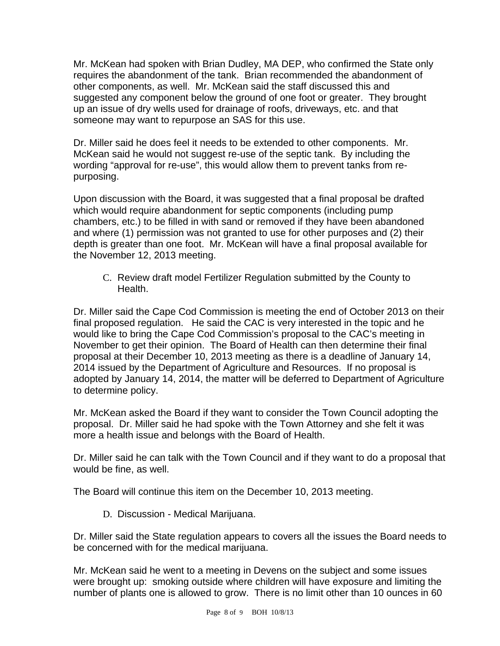Mr. McKean had spoken with Brian Dudley, MA DEP, who confirmed the State only requires the abandonment of the tank. Brian recommended the abandonment of other components, as well. Mr. McKean said the staff discussed this and suggested any component below the ground of one foot or greater. They brought up an issue of dry wells used for drainage of roofs, driveways, etc. and that someone may want to repurpose an SAS for this use.

Dr. Miller said he does feel it needs to be extended to other components. Mr. McKean said he would not suggest re-use of the septic tank. By including the wording "approval for re-use", this would allow them to prevent tanks from repurposing.

Upon discussion with the Board, it was suggested that a final proposal be drafted which would require abandonment for septic components (including pump chambers, etc.) to be filled in with sand or removed if they have been abandoned and where (1) permission was not granted to use for other purposes and (2) their depth is greater than one foot. Mr. McKean will have a final proposal available for the November 12, 2013 meeting.

C. Review draft model Fertilizer Regulation submitted by the County to Health.

Dr. Miller said the Cape Cod Commission is meeting the end of October 2013 on their final proposed regulation. He said the CAC is very interested in the topic and he would like to bring the Cape Cod Commission's proposal to the CAC's meeting in November to get their opinion. The Board of Health can then determine their final proposal at their December 10, 2013 meeting as there is a deadline of January 14, 2014 issued by the Department of Agriculture and Resources. If no proposal is adopted by January 14, 2014, the matter will be deferred to Department of Agriculture to determine policy.

Mr. McKean asked the Board if they want to consider the Town Council adopting the proposal. Dr. Miller said he had spoke with the Town Attorney and she felt it was more a health issue and belongs with the Board of Health.

Dr. Miller said he can talk with the Town Council and if they want to do a proposal that would be fine, as well.

The Board will continue this item on the December 10, 2013 meeting.

D. Discussion - Medical Marijuana.

Dr. Miller said the State regulation appears to covers all the issues the Board needs to be concerned with for the medical marijuana.

Mr. McKean said he went to a meeting in Devens on the subject and some issues were brought up: smoking outside where children will have exposure and limiting the number of plants one is allowed to grow. There is no limit other than 10 ounces in 60